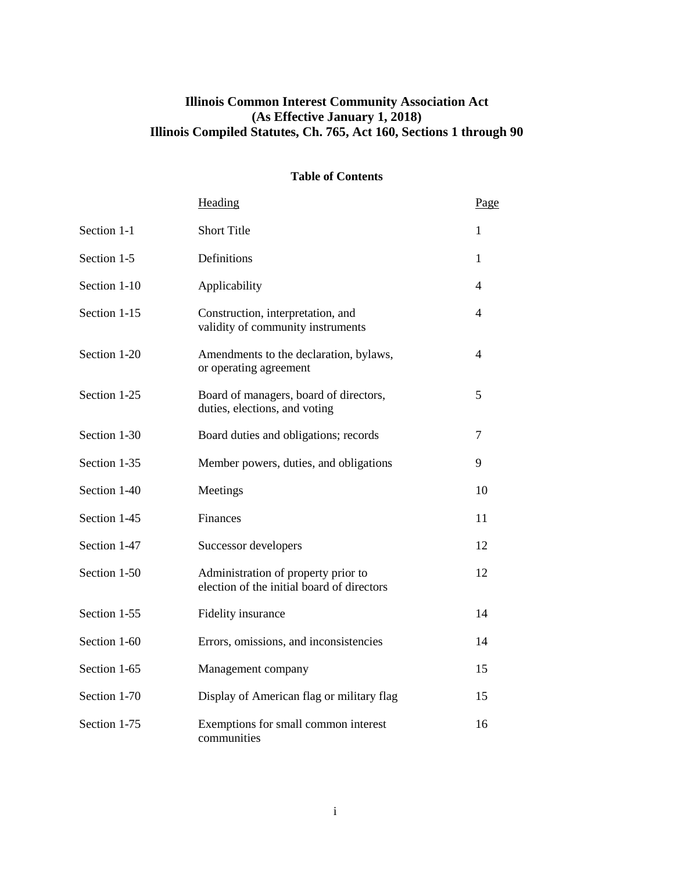# **Illinois Common Interest Community Association Act (As Effective January 1, 2018) Illinois Compiled Statutes, Ch. 765, Act 160, Sections 1 through 90**

## **Table of Contents**

|              | Heading                                                                           | Page |
|--------------|-----------------------------------------------------------------------------------|------|
| Section 1-1  | <b>Short Title</b>                                                                | 1    |
| Section 1-5  | Definitions                                                                       | 1    |
| Section 1-10 | Applicability                                                                     | 4    |
| Section 1-15 | Construction, interpretation, and<br>validity of community instruments            | 4    |
| Section 1-20 | Amendments to the declaration, bylaws,<br>or operating agreement                  | 4    |
| Section 1-25 | Board of managers, board of directors,<br>duties, elections, and voting           | 5    |
| Section 1-30 | Board duties and obligations; records                                             | 7    |
| Section 1-35 | Member powers, duties, and obligations                                            | 9    |
| Section 1-40 | Meetings                                                                          | 10   |
| Section 1-45 | Finances                                                                          | 11   |
| Section 1-47 | Successor developers                                                              | 12   |
| Section 1-50 | Administration of property prior to<br>election of the initial board of directors | 12   |
| Section 1-55 | Fidelity insurance                                                                | 14   |
| Section 1-60 | Errors, omissions, and inconsistencies                                            | 14   |
| Section 1-65 | Management company                                                                | 15   |
| Section 1-70 | Display of American flag or military flag                                         | 15   |
| Section 1-75 | Exemptions for small common interest<br>communities                               | 16   |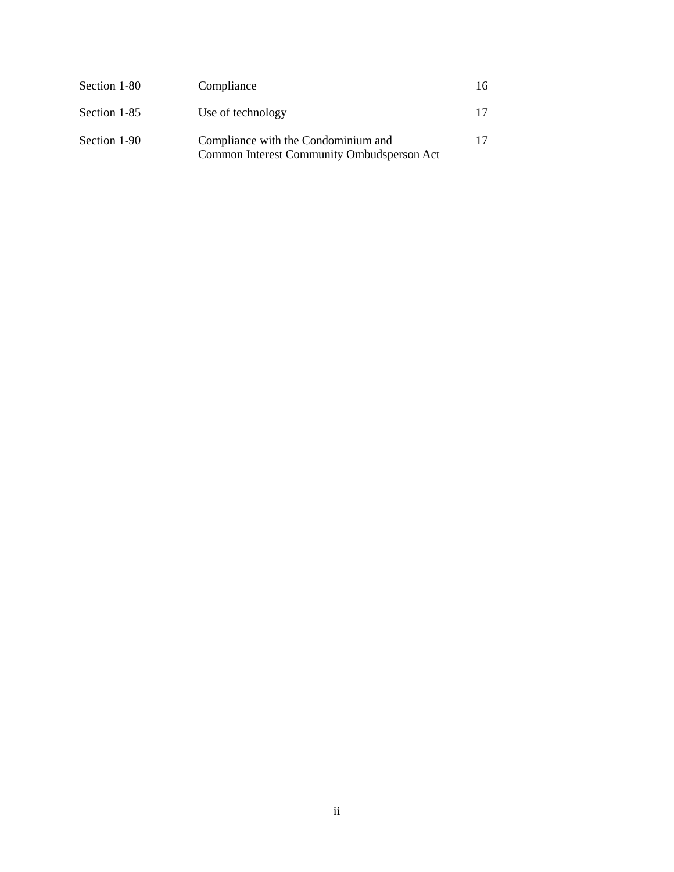| Section 1-80 | Compliance                                                                        | 16 |
|--------------|-----------------------------------------------------------------------------------|----|
| Section 1-85 | Use of technology                                                                 |    |
| Section 1-90 | Compliance with the Condominium and<br>Common Interest Community Ombudsperson Act |    |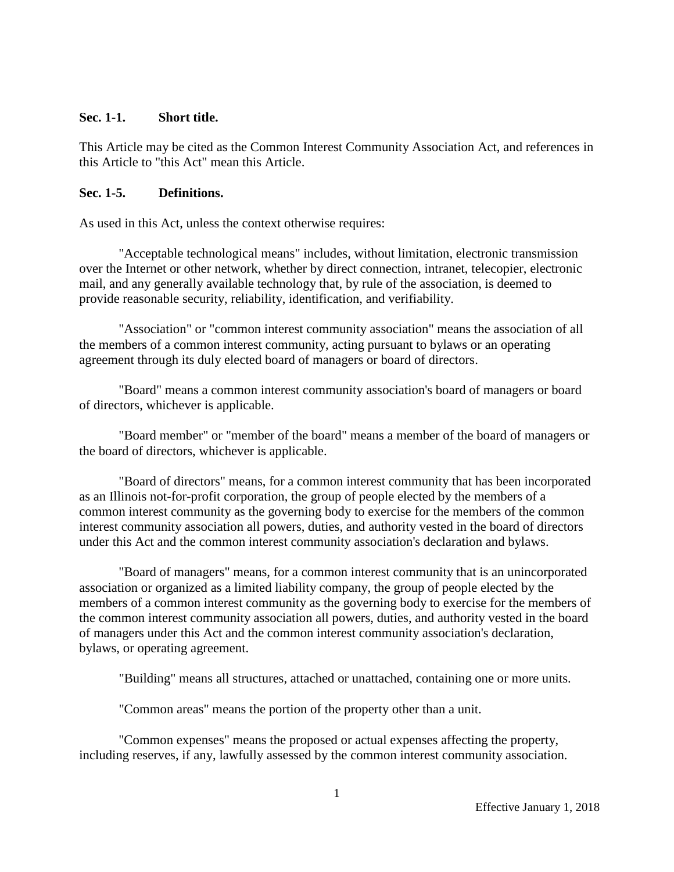### **Sec. 1-1. Short title.**

This Article may be cited as the Common Interest Community Association Act, and references in this Article to "this Act" mean this Article.

# **Sec. 1-5. Definitions.**

As used in this Act, unless the context otherwise requires:

"Acceptable technological means" includes, without limitation, electronic transmission over the Internet or other network, whether by direct connection, intranet, telecopier, electronic mail, and any generally available technology that, by rule of the association, is deemed to provide reasonable security, reliability, identification, and verifiability.

"Association" or "common interest community association" means the association of all the members of a common interest community, acting pursuant to bylaws or an operating agreement through its duly elected board of managers or board of directors.

"Board" means a common interest community association's board of managers or board of directors, whichever is applicable.

"Board member" or "member of the board" means a member of the board of managers or the board of directors, whichever is applicable.

"Board of directors" means, for a common interest community that has been incorporated as an Illinois not-for-profit corporation, the group of people elected by the members of a common interest community as the governing body to exercise for the members of the common interest community association all powers, duties, and authority vested in the board of directors under this Act and the common interest community association's declaration and bylaws.

"Board of managers" means, for a common interest community that is an unincorporated association or organized as a limited liability company, the group of people elected by the members of a common interest community as the governing body to exercise for the members of the common interest community association all powers, duties, and authority vested in the board of managers under this Act and the common interest community association's declaration, bylaws, or operating agreement.

"Building" means all structures, attached or unattached, containing one or more units.

"Common areas" means the portion of the property other than a unit.

"Common expenses" means the proposed or actual expenses affecting the property, including reserves, if any, lawfully assessed by the common interest community association.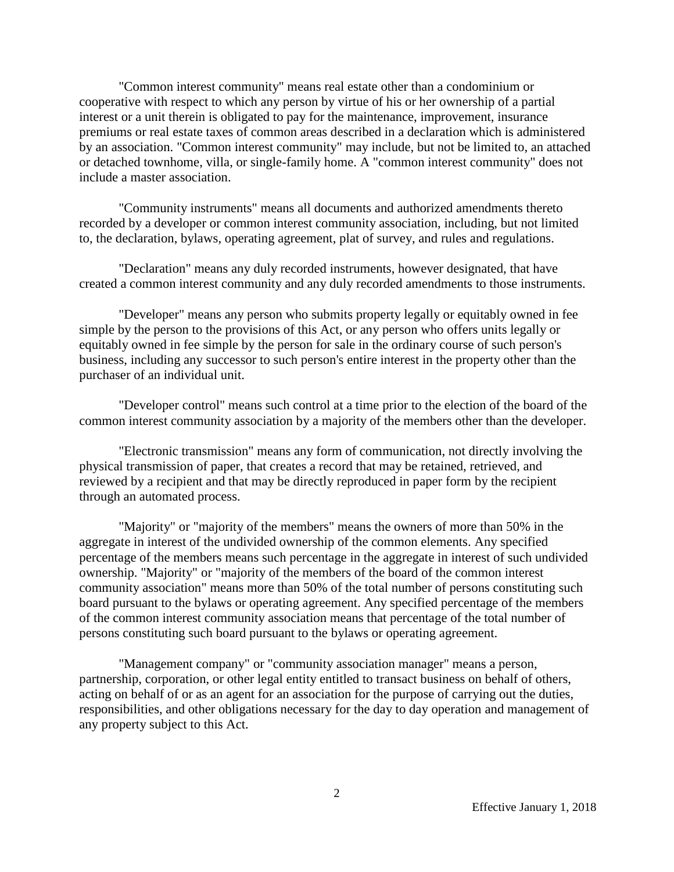"Common interest community" means real estate other than a condominium or cooperative with respect to which any person by virtue of his or her ownership of a partial interest or a unit therein is obligated to pay for the maintenance, improvement, insurance premiums or real estate taxes of common areas described in a declaration which is administered by an association. "Common interest community" may include, but not be limited to, an attached or detached townhome, villa, or single-family home. A "common interest community" does not include a master association.

"Community instruments" means all documents and authorized amendments thereto recorded by a developer or common interest community association, including, but not limited to, the declaration, bylaws, operating agreement, plat of survey, and rules and regulations.

"Declaration" means any duly recorded instruments, however designated, that have created a common interest community and any duly recorded amendments to those instruments.

"Developer" means any person who submits property legally or equitably owned in fee simple by the person to the provisions of this Act, or any person who offers units legally or equitably owned in fee simple by the person for sale in the ordinary course of such person's business, including any successor to such person's entire interest in the property other than the purchaser of an individual unit.

"Developer control" means such control at a time prior to the election of the board of the common interest community association by a majority of the members other than the developer.

"Electronic transmission" means any form of communication, not directly involving the physical transmission of paper, that creates a record that may be retained, retrieved, and reviewed by a recipient and that may be directly reproduced in paper form by the recipient through an automated process.

"Majority" or "majority of the members" means the owners of more than 50% in the aggregate in interest of the undivided ownership of the common elements. Any specified percentage of the members means such percentage in the aggregate in interest of such undivided ownership. "Majority" or "majority of the members of the board of the common interest community association" means more than 50% of the total number of persons constituting such board pursuant to the bylaws or operating agreement. Any specified percentage of the members of the common interest community association means that percentage of the total number of persons constituting such board pursuant to the bylaws or operating agreement.

"Management company" or "community association manager" means a person, partnership, corporation, or other legal entity entitled to transact business on behalf of others, acting on behalf of or as an agent for an association for the purpose of carrying out the duties, responsibilities, and other obligations necessary for the day to day operation and management of any property subject to this Act.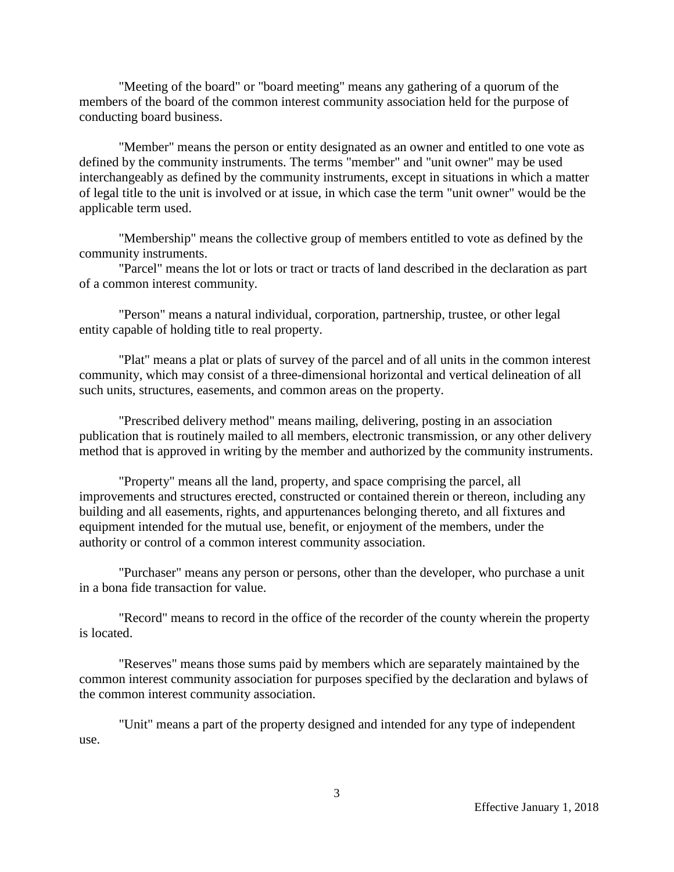"Meeting of the board" or "board meeting" means any gathering of a quorum of the members of the board of the common interest community association held for the purpose of conducting board business.

"Member" means the person or entity designated as an owner and entitled to one vote as defined by the community instruments. The terms "member" and "unit owner" may be used interchangeably as defined by the community instruments, except in situations in which a matter of legal title to the unit is involved or at issue, in which case the term "unit owner" would be the applicable term used.

"Membership" means the collective group of members entitled to vote as defined by the community instruments.

"Parcel" means the lot or lots or tract or tracts of land described in the declaration as part of a common interest community.

"Person" means a natural individual, corporation, partnership, trustee, or other legal entity capable of holding title to real property.

"Plat" means a plat or plats of survey of the parcel and of all units in the common interest community, which may consist of a three-dimensional horizontal and vertical delineation of all such units, structures, easements, and common areas on the property.

"Prescribed delivery method" means mailing, delivering, posting in an association publication that is routinely mailed to all members, electronic transmission, or any other delivery method that is approved in writing by the member and authorized by the community instruments.

"Property" means all the land, property, and space comprising the parcel, all improvements and structures erected, constructed or contained therein or thereon, including any building and all easements, rights, and appurtenances belonging thereto, and all fixtures and equipment intended for the mutual use, benefit, or enjoyment of the members, under the authority or control of a common interest community association.

"Purchaser" means any person or persons, other than the developer, who purchase a unit in a bona fide transaction for value.

"Record" means to record in the office of the recorder of the county wherein the property is located.

"Reserves" means those sums paid by members which are separately maintained by the common interest community association for purposes specified by the declaration and bylaws of the common interest community association.

"Unit" means a part of the property designed and intended for any type of independent use.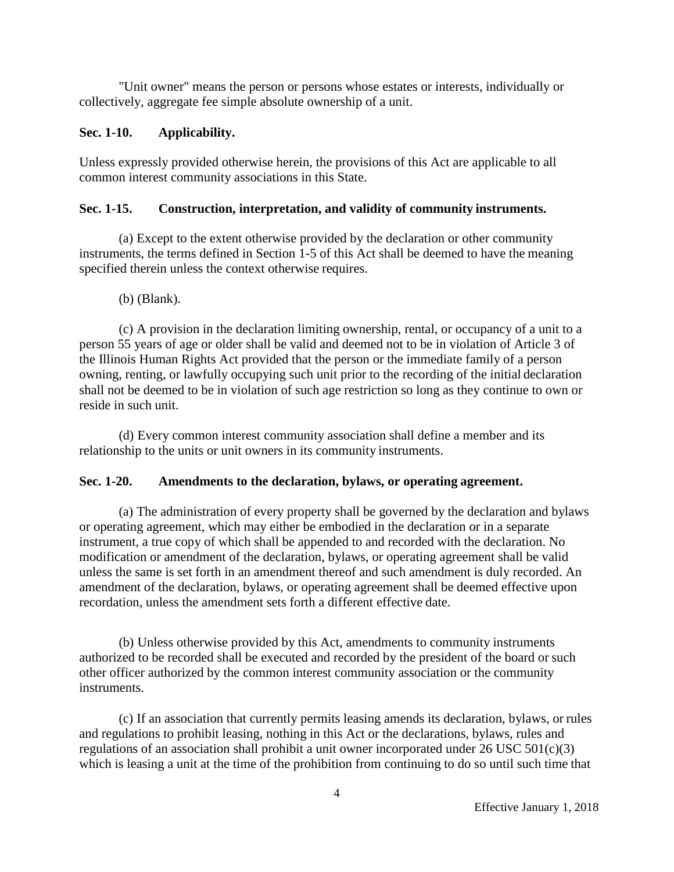"Unit owner" means the person or persons whose estates or interests, individually or collectively, aggregate fee simple absolute ownership of a unit.

# **Sec. 1-10. Applicability.**

Unless expressly provided otherwise herein, the provisions of this Act are applicable to all common interest community associations in this State.

# **Sec. 1-15. Construction, interpretation, and validity of community instruments.**

(a) Except to the extent otherwise provided by the declaration or other community instruments, the terms defined in Section 1-5 of this Act shall be deemed to have the meaning specified therein unless the context otherwise requires.

## (b) (Blank).

(c) A provision in the declaration limiting ownership, rental, or occupancy of a unit to a person 55 years of age or older shall be valid and deemed not to be in violation of Article 3 of the Illinois Human Rights Act provided that the person or the immediate family of a person owning, renting, or lawfully occupying such unit prior to the recording of the initial declaration shall not be deemed to be in violation of such age restriction so long as they continue to own or reside in such unit.

(d) Every common interest community association shall define a member and its relationship to the units or unit owners in its community instruments.

## **Sec. 1-20. Amendments to the declaration, bylaws, or operating agreement.**

(a) The administration of every property shall be governed by the declaration and bylaws or operating agreement, which may either be embodied in the declaration or in a separate instrument, a true copy of which shall be appended to and recorded with the declaration. No modification or amendment of the declaration, bylaws, or operating agreement shall be valid unless the same is set forth in an amendment thereof and such amendment is duly recorded. An amendment of the declaration, bylaws, or operating agreement shall be deemed effective upon recordation, unless the amendment sets forth a different effective date.

(b) Unless otherwise provided by this Act, amendments to community instruments authorized to be recorded shall be executed and recorded by the president of the board or such other officer authorized by the common interest community association or the community instruments.

(c) If an association that currently permits leasing amends its declaration, bylaws, or rules and regulations to prohibit leasing, nothing in this Act or the declarations, bylaws, rules and regulations of an association shall prohibit a unit owner incorporated under 26 USC 501(c)(3) which is leasing a unit at the time of the prohibition from continuing to do so until such time that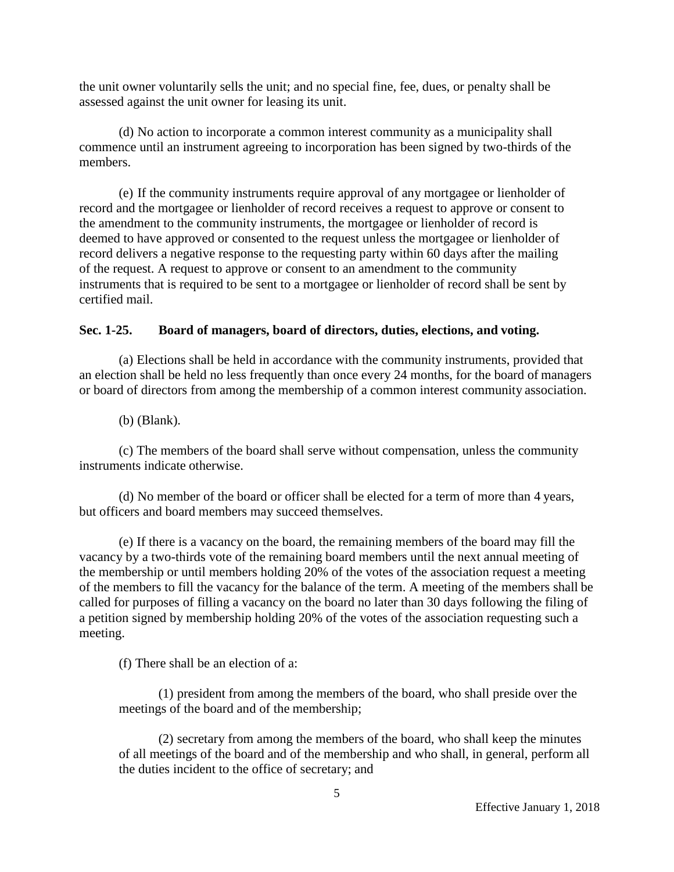the unit owner voluntarily sells the unit; and no special fine, fee, dues, or penalty shall be assessed against the unit owner for leasing its unit.

(d) No action to incorporate a common interest community as a municipality shall commence until an instrument agreeing to incorporation has been signed by two-thirds of the members.

(e) If the community instruments require approval of any mortgagee or lienholder of record and the mortgagee or lienholder of record receives a request to approve or consent to the amendment to the community instruments, the mortgagee or lienholder of record is deemed to have approved or consented to the request unless the mortgagee or lienholder of record delivers a negative response to the requesting party within 60 days after the mailing of the request. A request to approve or consent to an amendment to the community instruments that is required to be sent to a mortgagee or lienholder of record shall be sent by certified mail.

# **Sec. 1-25. Board of managers, board of directors, duties, elections, and voting.**

(a) Elections shall be held in accordance with the community instruments, provided that an election shall be held no less frequently than once every 24 months, for the board of managers or board of directors from among the membership of a common interest community association.

(b) (Blank).

(c) The members of the board shall serve without compensation, unless the community instruments indicate otherwise.

(d) No member of the board or officer shall be elected for a term of more than 4 years, but officers and board members may succeed themselves.

(e) If there is a vacancy on the board, the remaining members of the board may fill the vacancy by a two-thirds vote of the remaining board members until the next annual meeting of the membership or until members holding 20% of the votes of the association request a meeting of the members to fill the vacancy for the balance of the term. A meeting of the members shall be called for purposes of filling a vacancy on the board no later than 30 days following the filing of a petition signed by membership holding 20% of the votes of the association requesting such a meeting.

(f) There shall be an election of a:

(1) president from among the members of the board, who shall preside over the meetings of the board and of the membership;

(2) secretary from among the members of the board, who shall keep the minutes of all meetings of the board and of the membership and who shall, in general, perform all the duties incident to the office of secretary; and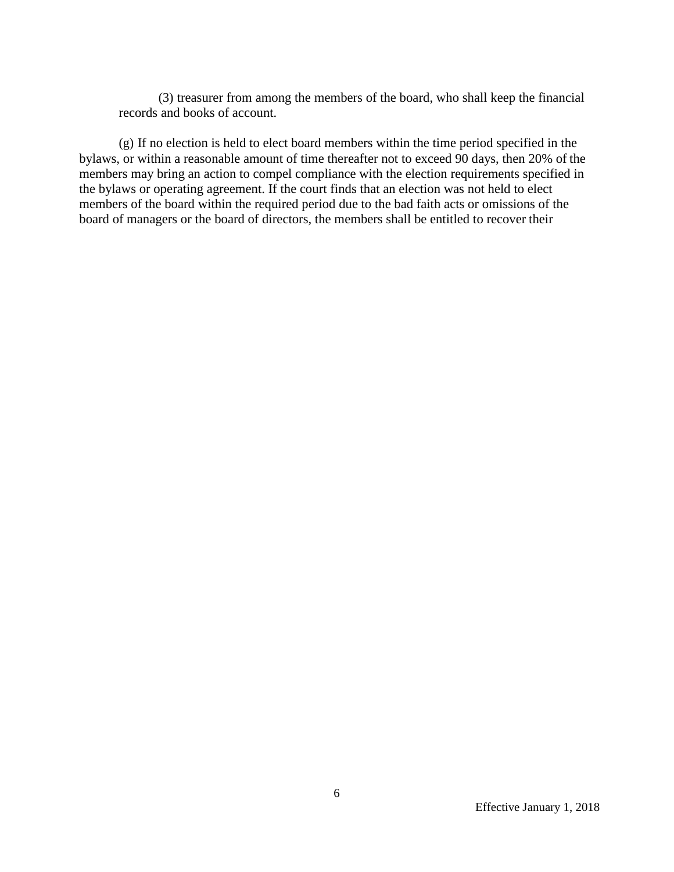(3) treasurer from among the members of the board, who shall keep the financial records and books of account.

(g) If no election is held to elect board members within the time period specified in the bylaws, or within a reasonable amount of time thereafter not to exceed 90 days, then 20% of the members may bring an action to compel compliance with the election requirements specified in the bylaws or operating agreement. If the court finds that an election was not held to elect members of the board within the required period due to the bad faith acts or omissions of the board of managers or the board of directors, the members shall be entitled to recover their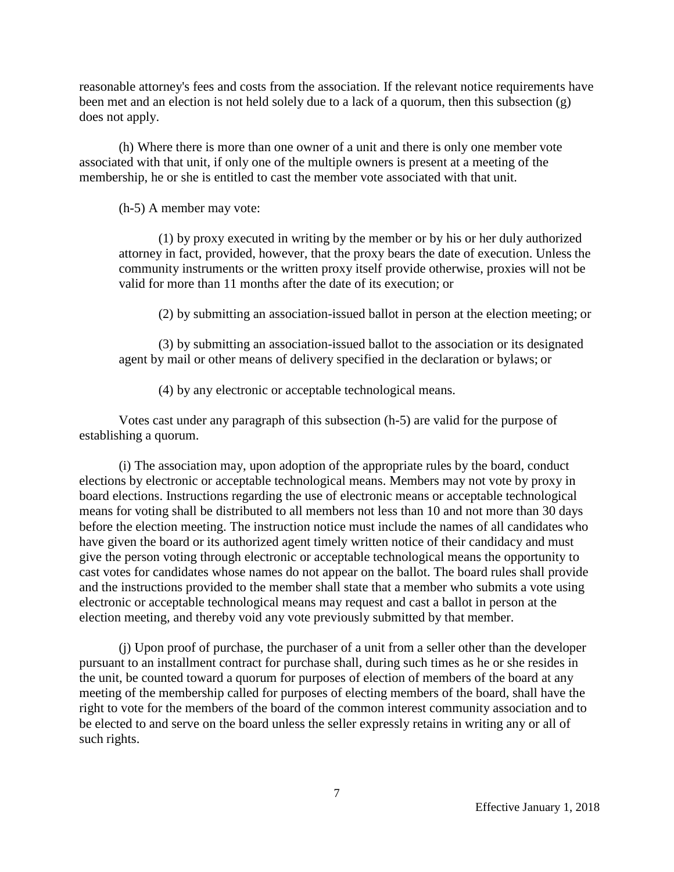reasonable attorney's fees and costs from the association. If the relevant notice requirements have been met and an election is not held solely due to a lack of a quorum, then this subsection (g) does not apply.

(h) Where there is more than one owner of a unit and there is only one member vote associated with that unit, if only one of the multiple owners is present at a meeting of the membership, he or she is entitled to cast the member vote associated with that unit.

(h-5) A member may vote:

(1) by proxy executed in writing by the member or by his or her duly authorized attorney in fact, provided, however, that the proxy bears the date of execution. Unless the community instruments or the written proxy itself provide otherwise, proxies will not be valid for more than 11 months after the date of its execution; or

(2) by submitting an association-issued ballot in person at the election meeting; or

(3) by submitting an association-issued ballot to the association or its designated agent by mail or other means of delivery specified in the declaration or bylaws; or

(4) by any electronic or acceptable technological means.

Votes cast under any paragraph of this subsection (h-5) are valid for the purpose of establishing a quorum.

(i) The association may, upon adoption of the appropriate rules by the board, conduct elections by electronic or acceptable technological means. Members may not vote by proxy in board elections. Instructions regarding the use of electronic means or acceptable technological means for voting shall be distributed to all members not less than 10 and not more than 30 days before the election meeting. The instruction notice must include the names of all candidates who have given the board or its authorized agent timely written notice of their candidacy and must give the person voting through electronic or acceptable technological means the opportunity to cast votes for candidates whose names do not appear on the ballot. The board rules shall provide and the instructions provided to the member shall state that a member who submits a vote using electronic or acceptable technological means may request and cast a ballot in person at the election meeting, and thereby void any vote previously submitted by that member.

(j) Upon proof of purchase, the purchaser of a unit from a seller other than the developer pursuant to an installment contract for purchase shall, during such times as he or she resides in the unit, be counted toward a quorum for purposes of election of members of the board at any meeting of the membership called for purposes of electing members of the board, shall have the right to vote for the members of the board of the common interest community association and to be elected to and serve on the board unless the seller expressly retains in writing any or all of such rights.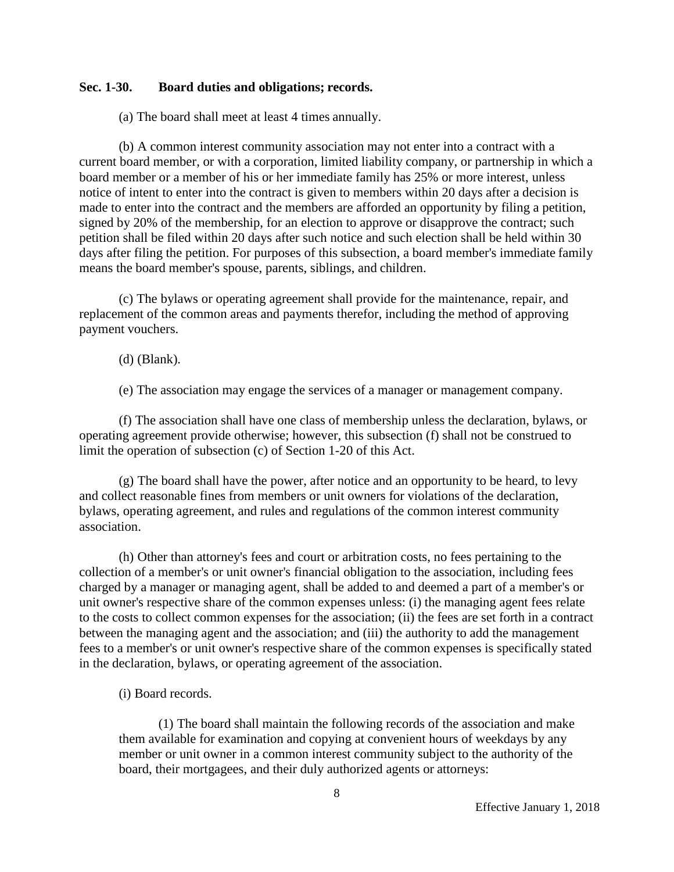## **Sec. 1-30. Board duties and obligations; records.**

(a) The board shall meet at least 4 times annually.

(b) A common interest community association may not enter into a contract with a current board member, or with a corporation, limited liability company, or partnership in which a board member or a member of his or her immediate family has 25% or more interest, unless notice of intent to enter into the contract is given to members within 20 days after a decision is made to enter into the contract and the members are afforded an opportunity by filing a petition, signed by 20% of the membership, for an election to approve or disapprove the contract; such petition shall be filed within 20 days after such notice and such election shall be held within 30 days after filing the petition. For purposes of this subsection, a board member's immediate family means the board member's spouse, parents, siblings, and children.

(c) The bylaws or operating agreement shall provide for the maintenance, repair, and replacement of the common areas and payments therefor, including the method of approving payment vouchers.

(d) (Blank).

(e) The association may engage the services of a manager or management company.

(f) The association shall have one class of membership unless the declaration, bylaws, or operating agreement provide otherwise; however, this subsection (f) shall not be construed to limit the operation of subsection (c) of Section 1-20 of this Act.

(g) The board shall have the power, after notice and an opportunity to be heard, to levy and collect reasonable fines from members or unit owners for violations of the declaration, bylaws, operating agreement, and rules and regulations of the common interest community association.

(h) Other than attorney's fees and court or arbitration costs, no fees pertaining to the collection of a member's or unit owner's financial obligation to the association, including fees charged by a manager or managing agent, shall be added to and deemed a part of a member's or unit owner's respective share of the common expenses unless: (i) the managing agent fees relate to the costs to collect common expenses for the association; (ii) the fees are set forth in a contract between the managing agent and the association; and (iii) the authority to add the management fees to a member's or unit owner's respective share of the common expenses is specifically stated in the declaration, bylaws, or operating agreement of the association.

(i) Board records.

(1) The board shall maintain the following records of the association and make them available for examination and copying at convenient hours of weekdays by any member or unit owner in a common interest community subject to the authority of the board, their mortgagees, and their duly authorized agents or attorneys: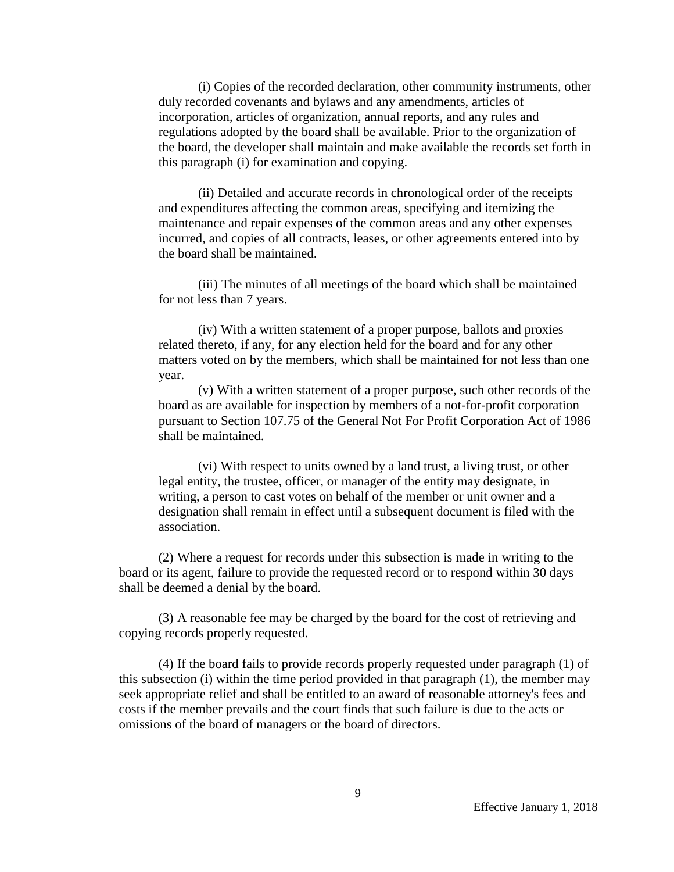(i) Copies of the recorded declaration, other community instruments, other duly recorded covenants and bylaws and any amendments, articles of incorporation, articles of organization, annual reports, and any rules and regulations adopted by the board shall be available. Prior to the organization of the board, the developer shall maintain and make available the records set forth in this paragraph (i) for examination and copying.

(ii) Detailed and accurate records in chronological order of the receipts and expenditures affecting the common areas, specifying and itemizing the maintenance and repair expenses of the common areas and any other expenses incurred, and copies of all contracts, leases, or other agreements entered into by the board shall be maintained.

(iii) The minutes of all meetings of the board which shall be maintained for not less than 7 years.

(iv) With a written statement of a proper purpose, ballots and proxies related thereto, if any, for any election held for the board and for any other matters voted on by the members, which shall be maintained for not less than one year.

(v) With a written statement of a proper purpose, such other records of the board as are available for inspection by members of a not-for-profit corporation pursuant to Section 107.75 of the General Not For Profit Corporation Act of 1986 shall be maintained.

(vi) With respect to units owned by a land trust, a living trust, or other legal entity, the trustee, officer, or manager of the entity may designate, in writing, a person to cast votes on behalf of the member or unit owner and a designation shall remain in effect until a subsequent document is filed with the association.

(2) Where a request for records under this subsection is made in writing to the board or its agent, failure to provide the requested record or to respond within 30 days shall be deemed a denial by the board.

(3) A reasonable fee may be charged by the board for the cost of retrieving and copying records properly requested.

(4) If the board fails to provide records properly requested under paragraph (1) of this subsection (i) within the time period provided in that paragraph (1), the member may seek appropriate relief and shall be entitled to an award of reasonable attorney's fees and costs if the member prevails and the court finds that such failure is due to the acts or omissions of the board of managers or the board of directors.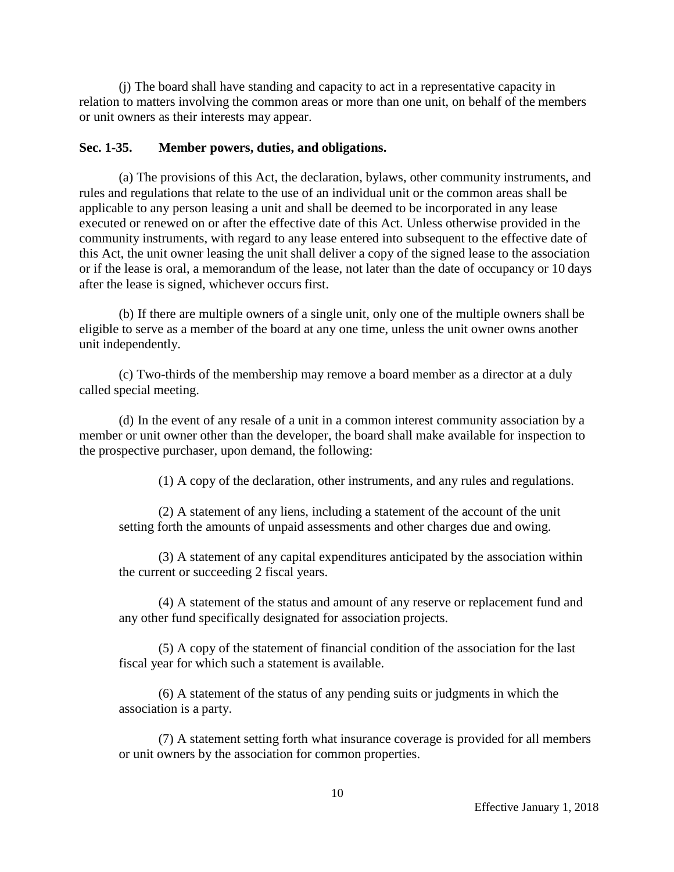(j) The board shall have standing and capacity to act in a representative capacity in relation to matters involving the common areas or more than one unit, on behalf of the members or unit owners as their interests may appear.

#### **Sec. 1-35. Member powers, duties, and obligations.**

(a) The provisions of this Act, the declaration, bylaws, other community instruments, and rules and regulations that relate to the use of an individual unit or the common areas shall be applicable to any person leasing a unit and shall be deemed to be incorporated in any lease executed or renewed on or after the effective date of this Act. Unless otherwise provided in the community instruments, with regard to any lease entered into subsequent to the effective date of this Act, the unit owner leasing the unit shall deliver a copy of the signed lease to the association or if the lease is oral, a memorandum of the lease, not later than the date of occupancy or 10 days after the lease is signed, whichever occurs first.

(b) If there are multiple owners of a single unit, only one of the multiple owners shall be eligible to serve as a member of the board at any one time, unless the unit owner owns another unit independently.

(c) Two-thirds of the membership may remove a board member as a director at a duly called special meeting.

(d) In the event of any resale of a unit in a common interest community association by a member or unit owner other than the developer, the board shall make available for inspection to the prospective purchaser, upon demand, the following:

(1) A copy of the declaration, other instruments, and any rules and regulations.

(2) A statement of any liens, including a statement of the account of the unit setting forth the amounts of unpaid assessments and other charges due and owing.

(3) A statement of any capital expenditures anticipated by the association within the current or succeeding 2 fiscal years.

(4) A statement of the status and amount of any reserve or replacement fund and any other fund specifically designated for association projects.

(5) A copy of the statement of financial condition of the association for the last fiscal year for which such a statement is available.

(6) A statement of the status of any pending suits or judgments in which the association is a party.

(7) A statement setting forth what insurance coverage is provided for all members or unit owners by the association for common properties.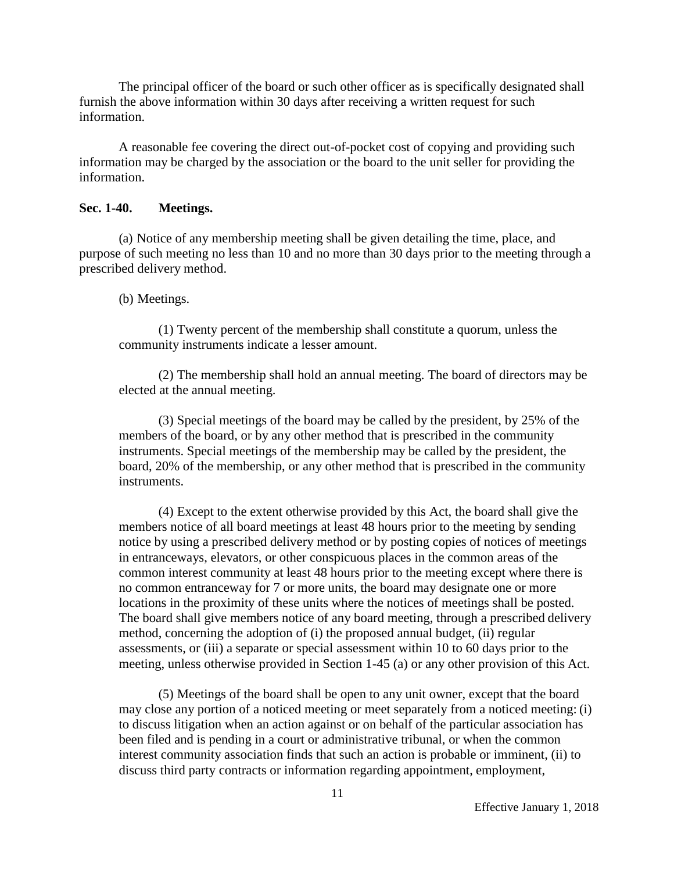The principal officer of the board or such other officer as is specifically designated shall furnish the above information within 30 days after receiving a written request for such information.

A reasonable fee covering the direct out-of-pocket cost of copying and providing such information may be charged by the association or the board to the unit seller for providing the information.

### **Sec. 1-40. Meetings.**

(a) Notice of any membership meeting shall be given detailing the time, place, and purpose of such meeting no less than 10 and no more than 30 days prior to the meeting through a prescribed delivery method.

#### (b) Meetings.

(1) Twenty percent of the membership shall constitute a quorum, unless the community instruments indicate a lesser amount.

(2) The membership shall hold an annual meeting. The board of directors may be elected at the annual meeting.

(3) Special meetings of the board may be called by the president, by 25% of the members of the board, or by any other method that is prescribed in the community instruments. Special meetings of the membership may be called by the president, the board, 20% of the membership, or any other method that is prescribed in the community instruments.

(4) Except to the extent otherwise provided by this Act, the board shall give the members notice of all board meetings at least 48 hours prior to the meeting by sending notice by using a prescribed delivery method or by posting copies of notices of meetings in entranceways, elevators, or other conspicuous places in the common areas of the common interest community at least 48 hours prior to the meeting except where there is no common entranceway for 7 or more units, the board may designate one or more locations in the proximity of these units where the notices of meetings shall be posted. The board shall give members notice of any board meeting, through a prescribed delivery method, concerning the adoption of (i) the proposed annual budget, (ii) regular assessments, or (iii) a separate or special assessment within 10 to 60 days prior to the meeting, unless otherwise provided in Section 1-45 (a) or any other provision of this Act.

(5) Meetings of the board shall be open to any unit owner, except that the board may close any portion of a noticed meeting or meet separately from a noticed meeting: (i) to discuss litigation when an action against or on behalf of the particular association has been filed and is pending in a court or administrative tribunal, or when the common interest community association finds that such an action is probable or imminent, (ii) to discuss third party contracts or information regarding appointment, employment,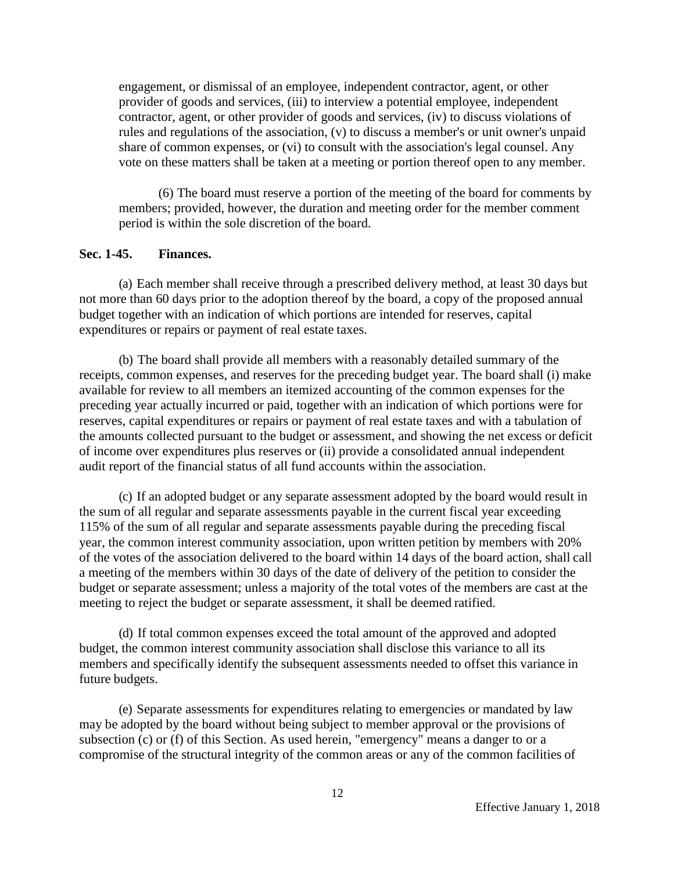engagement, or dismissal of an employee, independent contractor, agent, or other provider of goods and services, (iii) to interview a potential employee, independent contractor, agent, or other provider of goods and services, (iv) to discuss violations of rules and regulations of the association, (v) to discuss a member's or unit owner's unpaid share of common expenses, or (vi) to consult with the association's legal counsel. Any vote on these matters shall be taken at a meeting or portion thereof open to any member.

(6) The board must reserve a portion of the meeting of the board for comments by members; provided, however, the duration and meeting order for the member comment period is within the sole discretion of the board.

### **Sec. 1-45. Finances.**

(a) Each member shall receive through a prescribed delivery method, at least 30 days but not more than 60 days prior to the adoption thereof by the board, a copy of the proposed annual budget together with an indication of which portions are intended for reserves, capital expenditures or repairs or payment of real estate taxes.

(b) The board shall provide all members with a reasonably detailed summary of the receipts, common expenses, and reserves for the preceding budget year. The board shall (i) make available for review to all members an itemized accounting of the common expenses for the preceding year actually incurred or paid, together with an indication of which portions were for reserves, capital expenditures or repairs or payment of real estate taxes and with a tabulation of the amounts collected pursuant to the budget or assessment, and showing the net excess or deficit of income over expenditures plus reserves or (ii) provide a consolidated annual independent audit report of the financial status of all fund accounts within the association.

(c) If an adopted budget or any separate assessment adopted by the board would result in the sum of all regular and separate assessments payable in the current fiscal year exceeding 115% of the sum of all regular and separate assessments payable during the preceding fiscal year, the common interest community association, upon written petition by members with 20% of the votes of the association delivered to the board within 14 days of the board action, shall call a meeting of the members within 30 days of the date of delivery of the petition to consider the budget or separate assessment; unless a majority of the total votes of the members are cast at the meeting to reject the budget or separate assessment, it shall be deemed ratified.

(d) If total common expenses exceed the total amount of the approved and adopted budget, the common interest community association shall disclose this variance to all its members and specifically identify the subsequent assessments needed to offset this variance in future budgets.

(e) Separate assessments for expenditures relating to emergencies or mandated by law may be adopted by the board without being subject to member approval or the provisions of subsection (c) or (f) of this Section. As used herein, "emergency" means a danger to or a compromise of the structural integrity of the common areas or any of the common facilities of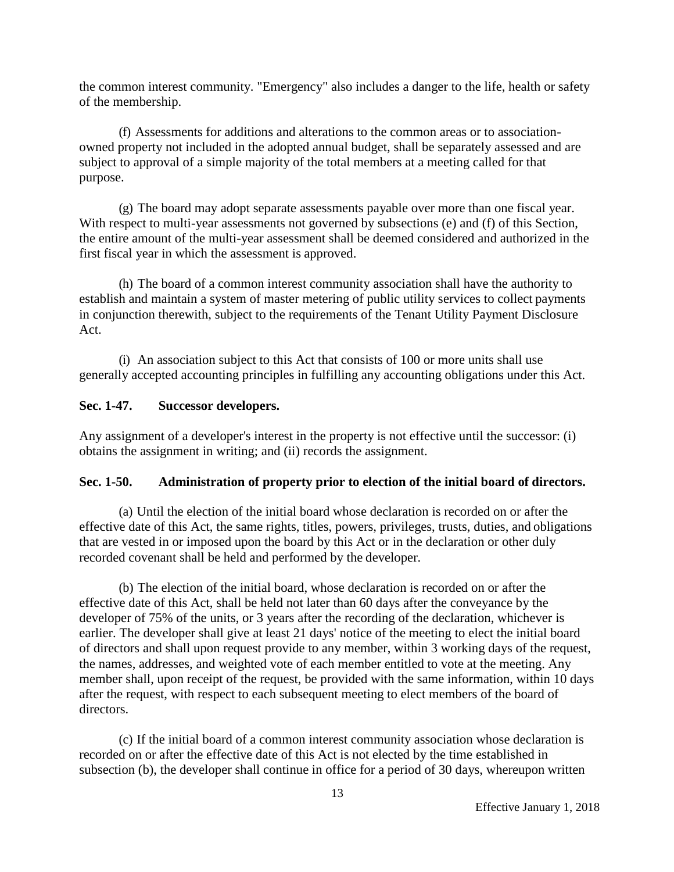the common interest community. "Emergency" also includes a danger to the life, health or safety of the membership.

(f) Assessments for additions and alterations to the common areas or to associationowned property not included in the adopted annual budget, shall be separately assessed and are subject to approval of a simple majority of the total members at a meeting called for that purpose.

(g) The board may adopt separate assessments payable over more than one fiscal year. With respect to multi-year assessments not governed by subsections (e) and (f) of this Section, the entire amount of the multi-year assessment shall be deemed considered and authorized in the first fiscal year in which the assessment is approved.

(h) The board of a common interest community association shall have the authority to establish and maintain a system of master metering of public utility services to collect payments in conjunction therewith, subject to the requirements of the Tenant Utility Payment Disclosure Act.

(i) An association subject to this Act that consists of 100 or more units shall use generally accepted accounting principles in fulfilling any accounting obligations under this Act.

# **Sec. 1-47. Successor developers.**

Any assignment of a developer's interest in the property is not effective until the successor: (i) obtains the assignment in writing; and (ii) records the assignment.

# **Sec. 1-50. Administration of property prior to election of the initial board of directors.**

(a) Until the election of the initial board whose declaration is recorded on or after the effective date of this Act, the same rights, titles, powers, privileges, trusts, duties, and obligations that are vested in or imposed upon the board by this Act or in the declaration or other duly recorded covenant shall be held and performed by the developer.

(b) The election of the initial board, whose declaration is recorded on or after the effective date of this Act, shall be held not later than 60 days after the conveyance by the developer of 75% of the units, or 3 years after the recording of the declaration, whichever is earlier. The developer shall give at least 21 days' notice of the meeting to elect the initial board of directors and shall upon request provide to any member, within 3 working days of the request, the names, addresses, and weighted vote of each member entitled to vote at the meeting. Any member shall, upon receipt of the request, be provided with the same information, within 10 days after the request, with respect to each subsequent meeting to elect members of the board of directors.

(c) If the initial board of a common interest community association whose declaration is recorded on or after the effective date of this Act is not elected by the time established in subsection (b), the developer shall continue in office for a period of 30 days, whereupon written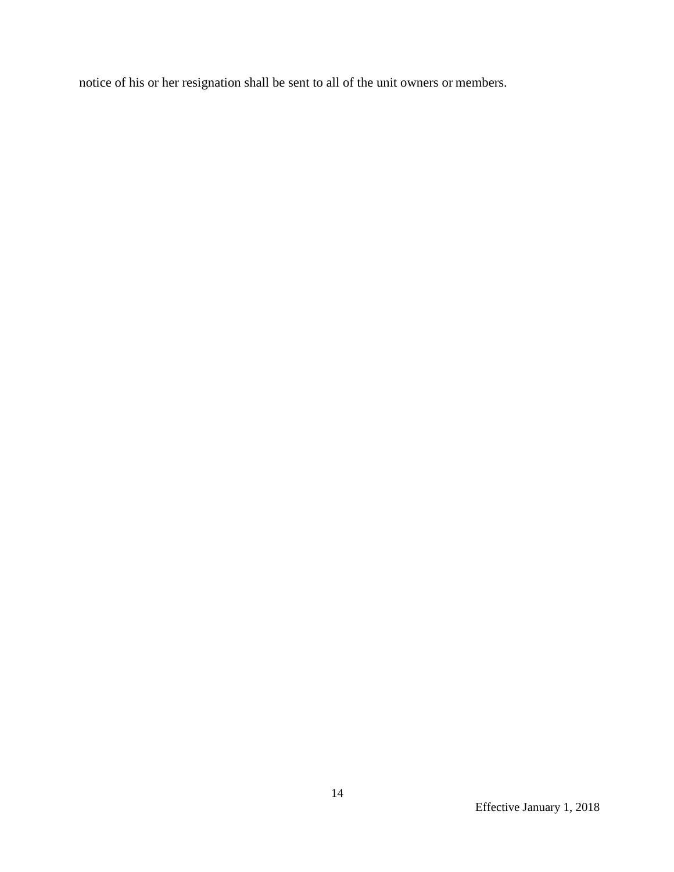notice of his or her resignation shall be sent to all of the unit owners or members.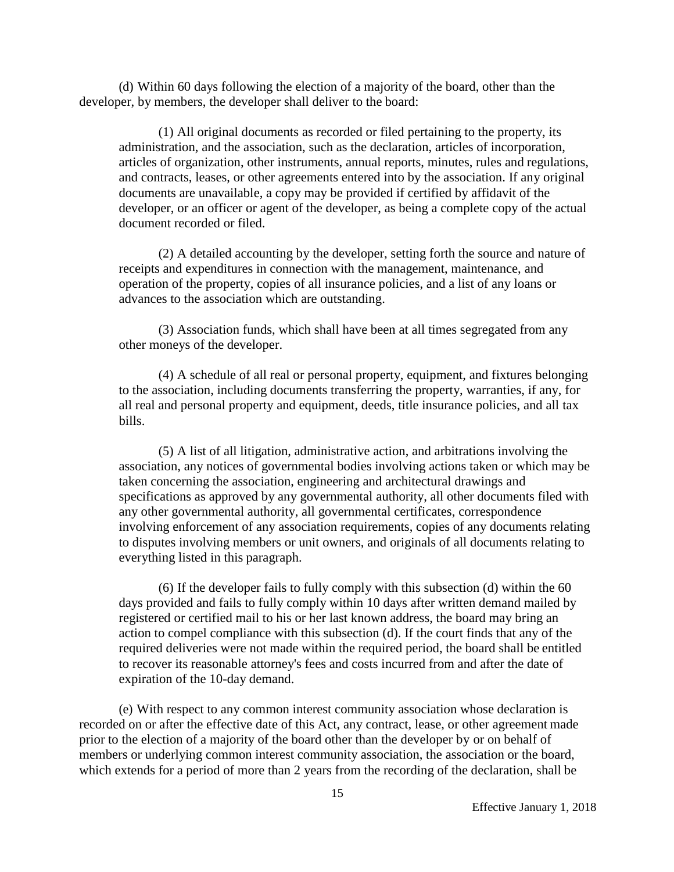(d) Within 60 days following the election of a majority of the board, other than the developer, by members, the developer shall deliver to the board:

(1) All original documents as recorded or filed pertaining to the property, its administration, and the association, such as the declaration, articles of incorporation, articles of organization, other instruments, annual reports, minutes, rules and regulations, and contracts, leases, or other agreements entered into by the association. If any original documents are unavailable, a copy may be provided if certified by affidavit of the developer, or an officer or agent of the developer, as being a complete copy of the actual document recorded or filed.

(2) A detailed accounting by the developer, setting forth the source and nature of receipts and expenditures in connection with the management, maintenance, and operation of the property, copies of all insurance policies, and a list of any loans or advances to the association which are outstanding.

(3) Association funds, which shall have been at all times segregated from any other moneys of the developer.

(4) A schedule of all real or personal property, equipment, and fixtures belonging to the association, including documents transferring the property, warranties, if any, for all real and personal property and equipment, deeds, title insurance policies, and all tax bills.

(5) A list of all litigation, administrative action, and arbitrations involving the association, any notices of governmental bodies involving actions taken or which may be taken concerning the association, engineering and architectural drawings and specifications as approved by any governmental authority, all other documents filed with any other governmental authority, all governmental certificates, correspondence involving enforcement of any association requirements, copies of any documents relating to disputes involving members or unit owners, and originals of all documents relating to everything listed in this paragraph.

(6) If the developer fails to fully comply with this subsection (d) within the 60 days provided and fails to fully comply within 10 days after written demand mailed by registered or certified mail to his or her last known address, the board may bring an action to compel compliance with this subsection (d). If the court finds that any of the required deliveries were not made within the required period, the board shall be entitled to recover its reasonable attorney's fees and costs incurred from and after the date of expiration of the 10-day demand.

(e) With respect to any common interest community association whose declaration is recorded on or after the effective date of this Act, any contract, lease, or other agreement made prior to the election of a majority of the board other than the developer by or on behalf of members or underlying common interest community association, the association or the board, which extends for a period of more than 2 years from the recording of the declaration, shall be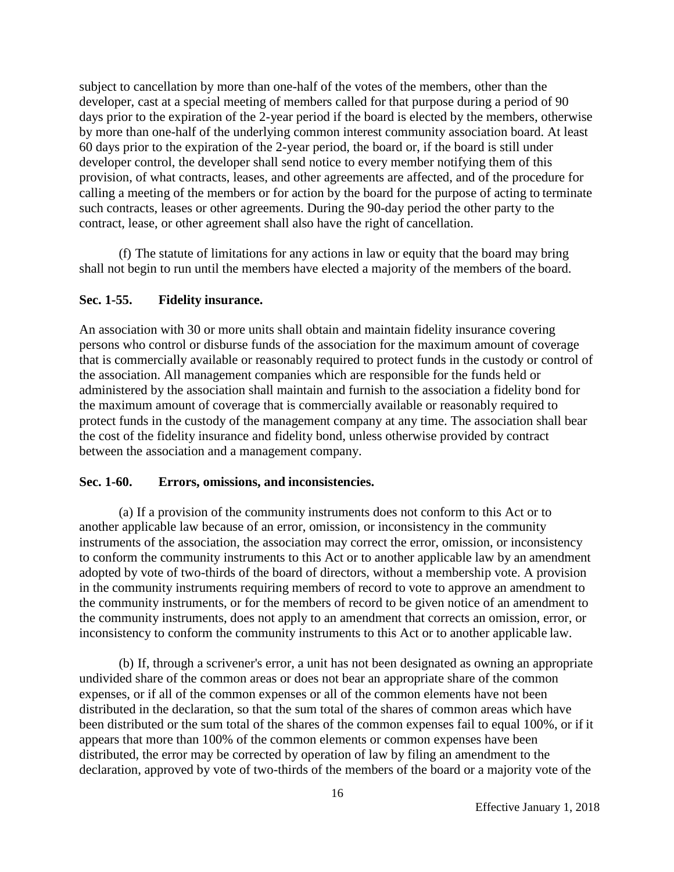subject to cancellation by more than one-half of the votes of the members, other than the developer, cast at a special meeting of members called for that purpose during a period of 90 days prior to the expiration of the 2-year period if the board is elected by the members, otherwise by more than one-half of the underlying common interest community association board. At least 60 days prior to the expiration of the 2-year period, the board or, if the board is still under developer control, the developer shall send notice to every member notifying them of this provision, of what contracts, leases, and other agreements are affected, and of the procedure for calling a meeting of the members or for action by the board for the purpose of acting to terminate such contracts, leases or other agreements. During the 90-day period the other party to the contract, lease, or other agreement shall also have the right of cancellation.

(f) The statute of limitations for any actions in law or equity that the board may bring shall not begin to run until the members have elected a majority of the members of the board.

# **Sec. 1-55. Fidelity insurance.**

An association with 30 or more units shall obtain and maintain fidelity insurance covering persons who control or disburse funds of the association for the maximum amount of coverage that is commercially available or reasonably required to protect funds in the custody or control of the association. All management companies which are responsible for the funds held or administered by the association shall maintain and furnish to the association a fidelity bond for the maximum amount of coverage that is commercially available or reasonably required to protect funds in the custody of the management company at any time. The association shall bear the cost of the fidelity insurance and fidelity bond, unless otherwise provided by contract between the association and a management company.

## **Sec. 1-60. Errors, omissions, and inconsistencies.**

(a) If a provision of the community instruments does not conform to this Act or to another applicable law because of an error, omission, or inconsistency in the community instruments of the association, the association may correct the error, omission, or inconsistency to conform the community instruments to this Act or to another applicable law by an amendment adopted by vote of two-thirds of the board of directors, without a membership vote. A provision in the community instruments requiring members of record to vote to approve an amendment to the community instruments, or for the members of record to be given notice of an amendment to the community instruments, does not apply to an amendment that corrects an omission, error, or inconsistency to conform the community instruments to this Act or to another applicable law.

(b) If, through a scrivener's error, a unit has not been designated as owning an appropriate undivided share of the common areas or does not bear an appropriate share of the common expenses, or if all of the common expenses or all of the common elements have not been distributed in the declaration, so that the sum total of the shares of common areas which have been distributed or the sum total of the shares of the common expenses fail to equal 100%, or if it appears that more than 100% of the common elements or common expenses have been distributed, the error may be corrected by operation of law by filing an amendment to the declaration, approved by vote of two-thirds of the members of the board or a majority vote of the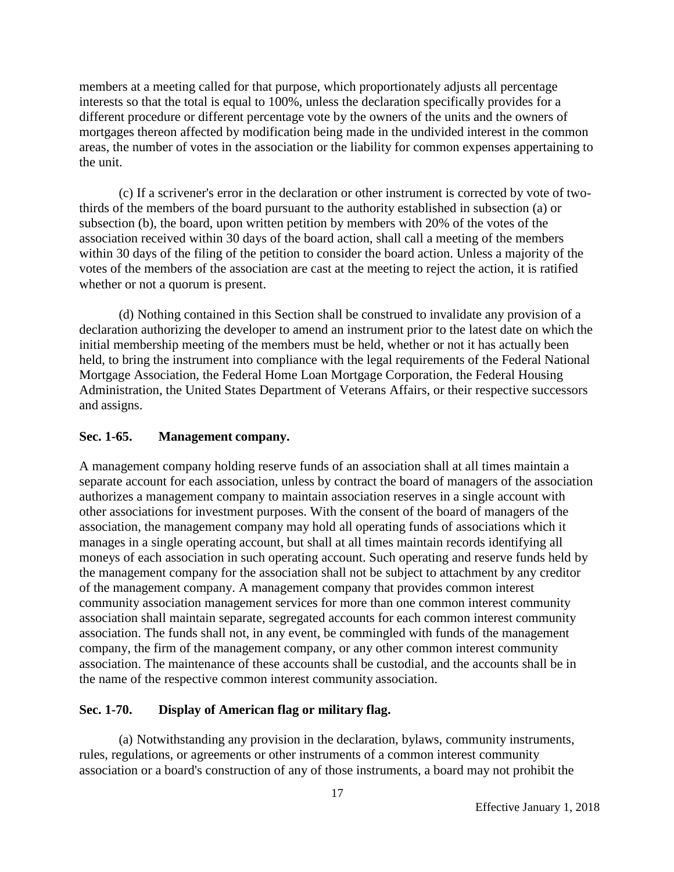members at a meeting called for that purpose, which proportionately adjusts all percentage interests so that the total is equal to 100%, unless the declaration specifically provides for a different procedure or different percentage vote by the owners of the units and the owners of mortgages thereon affected by modification being made in the undivided interest in the common areas, the number of votes in the association or the liability for common expenses appertaining to the unit.

(c) If a scrivener's error in the declaration or other instrument is corrected by vote of twothirds of the members of the board pursuant to the authority established in subsection (a) or subsection (b), the board, upon written petition by members with 20% of the votes of the association received within 30 days of the board action, shall call a meeting of the members within 30 days of the filing of the petition to consider the board action. Unless a majority of the votes of the members of the association are cast at the meeting to reject the action, it is ratified whether or not a quorum is present.

(d) Nothing contained in this Section shall be construed to invalidate any provision of a declaration authorizing the developer to amend an instrument prior to the latest date on which the initial membership meeting of the members must be held, whether or not it has actually been held, to bring the instrument into compliance with the legal requirements of the Federal National Mortgage Association, the Federal Home Loan Mortgage Corporation, the Federal Housing Administration, the United States Department of Veterans Affairs, or their respective successors and assigns.

# **Sec. 1-65. Management company.**

A management company holding reserve funds of an association shall at all times maintain a separate account for each association, unless by contract the board of managers of the association authorizes a management company to maintain association reserves in a single account with other associations for investment purposes. With the consent of the board of managers of the association, the management company may hold all operating funds of associations which it manages in a single operating account, but shall at all times maintain records identifying all moneys of each association in such operating account. Such operating and reserve funds held by the management company for the association shall not be subject to attachment by any creditor of the management company. A management company that provides common interest community association management services for more than one common interest community association shall maintain separate, segregated accounts for each common interest community association. The funds shall not, in any event, be commingled with funds of the management company, the firm of the management company, or any other common interest community association. The maintenance of these accounts shall be custodial, and the accounts shall be in the name of the respective common interest community association.

## **Sec. 1-70. Display of American flag or military flag.**

(a) Notwithstanding any provision in the declaration, bylaws, community instruments, rules, regulations, or agreements or other instruments of a common interest community association or a board's construction of any of those instruments, a board may not prohibit the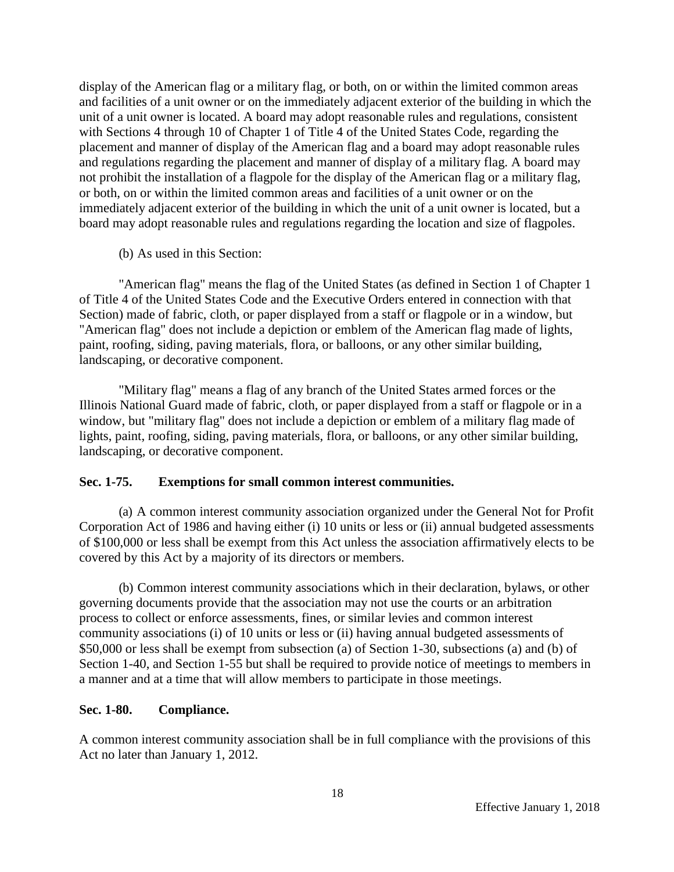display of the American flag or a military flag, or both, on or within the limited common areas and facilities of a unit owner or on the immediately adjacent exterior of the building in which the unit of a unit owner is located. A board may adopt reasonable rules and regulations, consistent with Sections 4 through 10 of Chapter 1 of Title 4 of the United States Code, regarding the placement and manner of display of the American flag and a board may adopt reasonable rules and regulations regarding the placement and manner of display of a military flag. A board may not prohibit the installation of a flagpole for the display of the American flag or a military flag, or both, on or within the limited common areas and facilities of a unit owner or on the immediately adjacent exterior of the building in which the unit of a unit owner is located, but a board may adopt reasonable rules and regulations regarding the location and size of flagpoles.

(b) As used in this Section:

"American flag" means the flag of the United States (as defined in Section 1 of Chapter 1 of Title 4 of the United States Code and the Executive Orders entered in connection with that Section) made of fabric, cloth, or paper displayed from a staff or flagpole or in a window, but "American flag" does not include a depiction or emblem of the American flag made of lights, paint, roofing, siding, paving materials, flora, or balloons, or any other similar building, landscaping, or decorative component.

"Military flag" means a flag of any branch of the United States armed forces or the Illinois National Guard made of fabric, cloth, or paper displayed from a staff or flagpole or in a window, but "military flag" does not include a depiction or emblem of a military flag made of lights, paint, roofing, siding, paving materials, flora, or balloons, or any other similar building, landscaping, or decorative component.

## **Sec. 1-75. Exemptions for small common interest communities.**

(a) A common interest community association organized under the General Not for Profit Corporation Act of 1986 and having either (i) 10 units or less or (ii) annual budgeted assessments of \$100,000 or less shall be exempt from this Act unless the association affirmatively elects to be covered by this Act by a majority of its directors or members.

(b) Common interest community associations which in their declaration, bylaws, or other governing documents provide that the association may not use the courts or an arbitration process to collect or enforce assessments, fines, or similar levies and common interest community associations (i) of 10 units or less or (ii) having annual budgeted assessments of \$50,000 or less shall be exempt from subsection (a) of Section 1-30, subsections (a) and (b) of Section 1-40, and Section 1-55 but shall be required to provide notice of meetings to members in a manner and at a time that will allow members to participate in those meetings.

## **Sec. 1-80. Compliance.**

A common interest community association shall be in full compliance with the provisions of this Act no later than January 1, 2012.